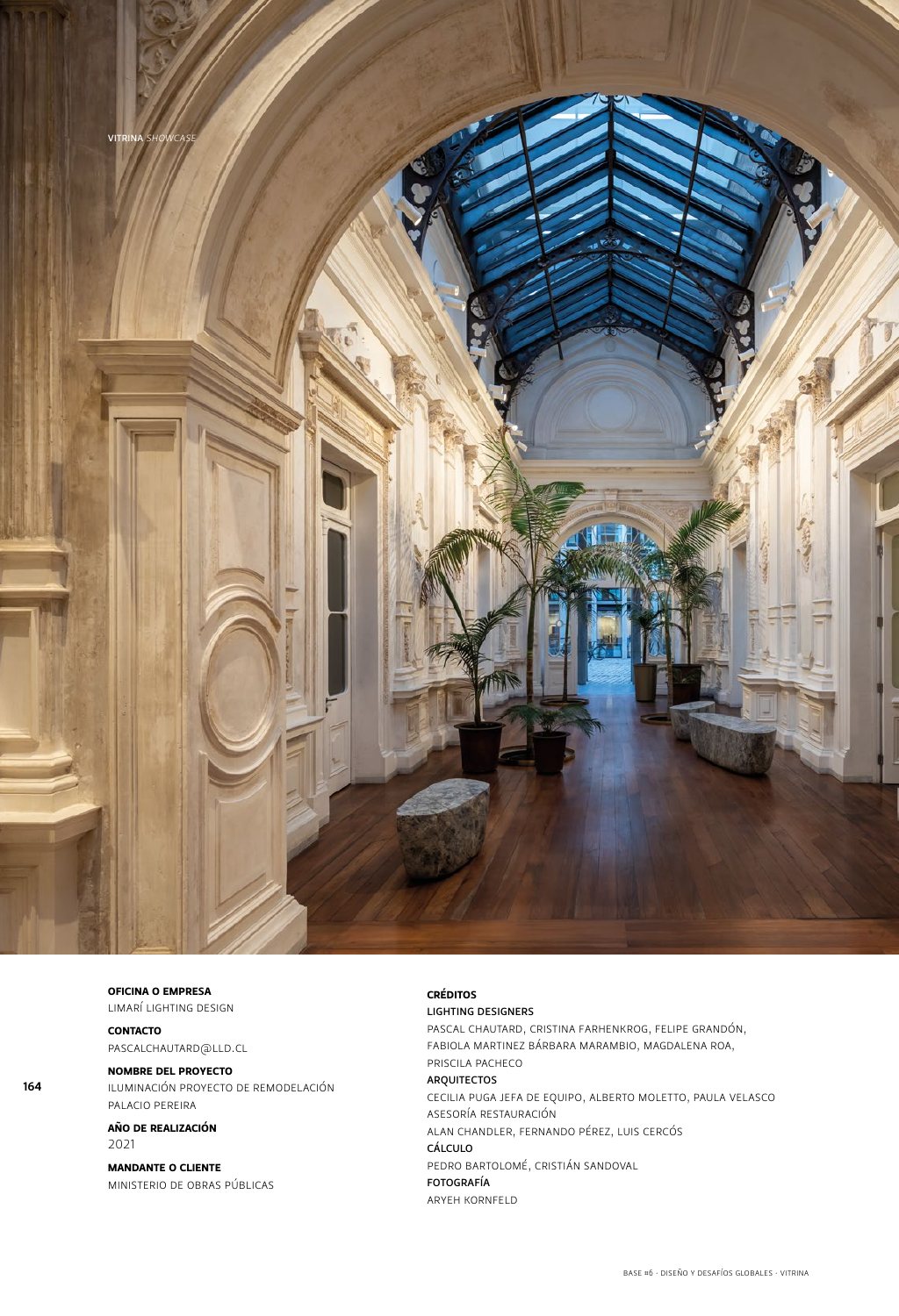

**OFICINA O EMPRESA** LIMARÍ LIGHTING DESIGN

**CONTACTO** PASCALCHAUTARD@LLD.CL

**NOMBRE DEL PROYECTO** ILUMINACIÓN PROYECTO DE REMODELACIÓN PALACIO PEREIRA

AÑO DE REALIZACIÓN 2021

**MANDANTE O CLIENTE** MINISTERIO DE OBRAS PÚBLICAS

## **CRÉDITOS**

LIGHTING DESIGNERS PASCAL CHAUTARD, CRISTINA FARHENKROG, FELIPE GRANDÓN, FABIOLA MARTINEZ BÁRBARA MARAMBIO, MAGDALENA ROA, PRISCILA PACHECO **ARQUITECTOS** CECILIA PUGA JEFA DE EQUIPO, ALBERTO MOLETTO, PAULA VELASCO ASESORÍA RESTAURACIÓN ALAN CHANDLER, FERNANDO PÉREZ, LUIS CERCÓS CÁLCULO PEDRO BARTOLOMÉ, CRISTIÁN SANDOVAL **FOTOGRAFÍA** ARYEH KORNFELD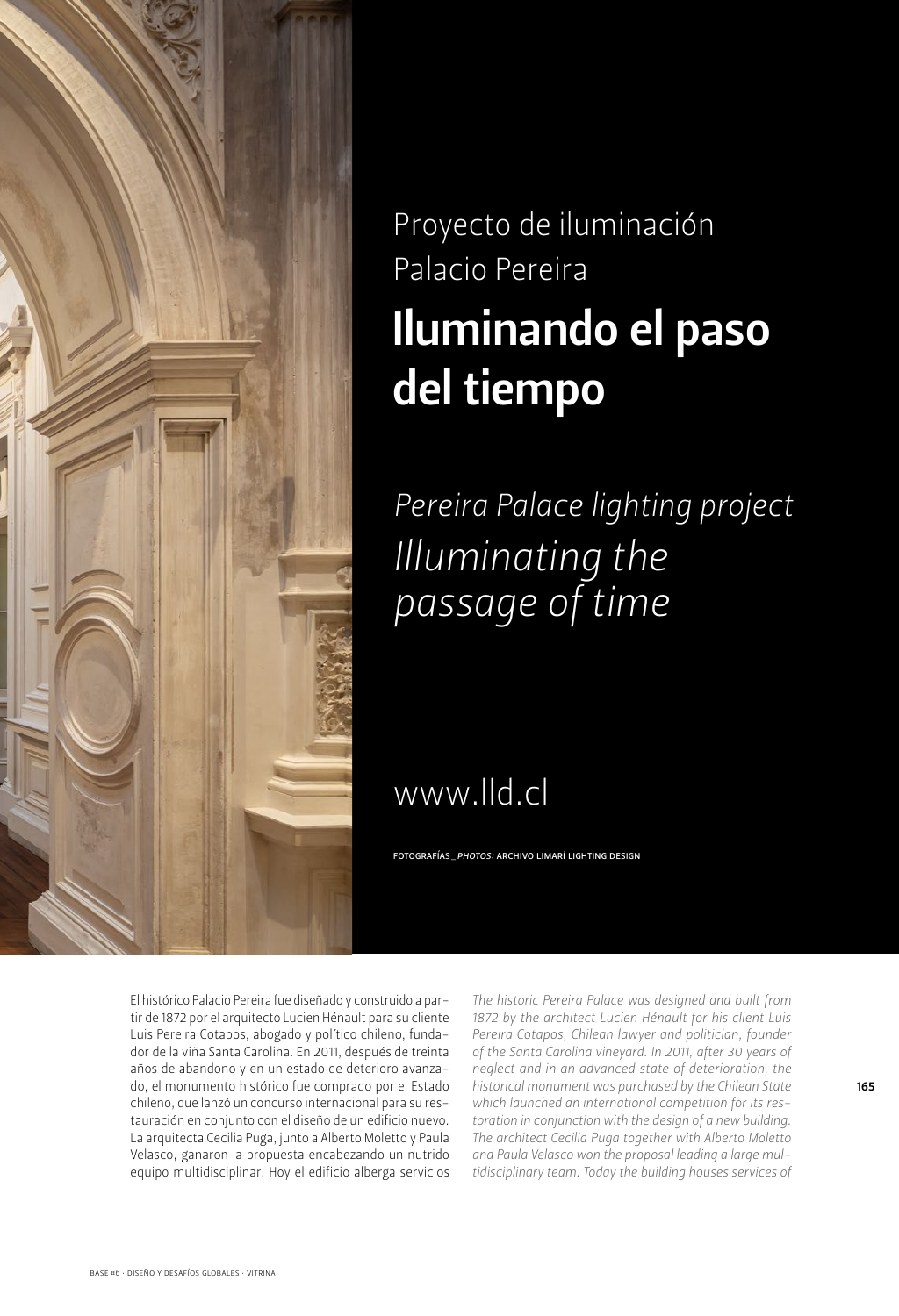

## Iluminando el paso del tiempo Proyecto de iluminación Palacio Pereira

*Illuminating the passage of time Pereira Palace lighting project*

## www.lld.cl

**FOTOGRAFÍAS PHOTOS: ARCHIVO LIMARÍ LIGHTING DESIGN** 

El histórico Palacio Pereira fue diseñado y construido a partir de 1872 por el arquitecto Lucien Hénault para su cliente Luis Pereira Cotapos, abogado y político chileno, fundador de la viña Santa Carolina. En 2011, después de treinta años de abandono y en un estado de deterioro avanzado, el monumento histórico fue comprado por el Estado chileno, que lanzó un concurso internacional para su restauración en conjunto con el diseño de un edificio nuevo. La arquitecta Cecilia Puga, junto a Alberto Moletto y Paula Velasco, ganaron la propuesta encabezando un nutrido equipo multidisciplinar. Hoy el edificio alberga servicios

*The historic Pereira Palace was designed and built from 1872 by the architect Lucien Hénault for his client Luis Pereira Cotapos, Chilean lawyer and politician, founder of the Santa Carolina vineyard. In 2011, after 30 years of neglect and in an advanced state of deterioration, the historical monument was purchased by the Chilean State which launched an international competition for its restoration in conjunction with the design of a new building. The architect Cecilia Puga together with Alberto Moletto and Paula Velasco won the proposal leading a large multidisciplinary team. Today the building houses services of*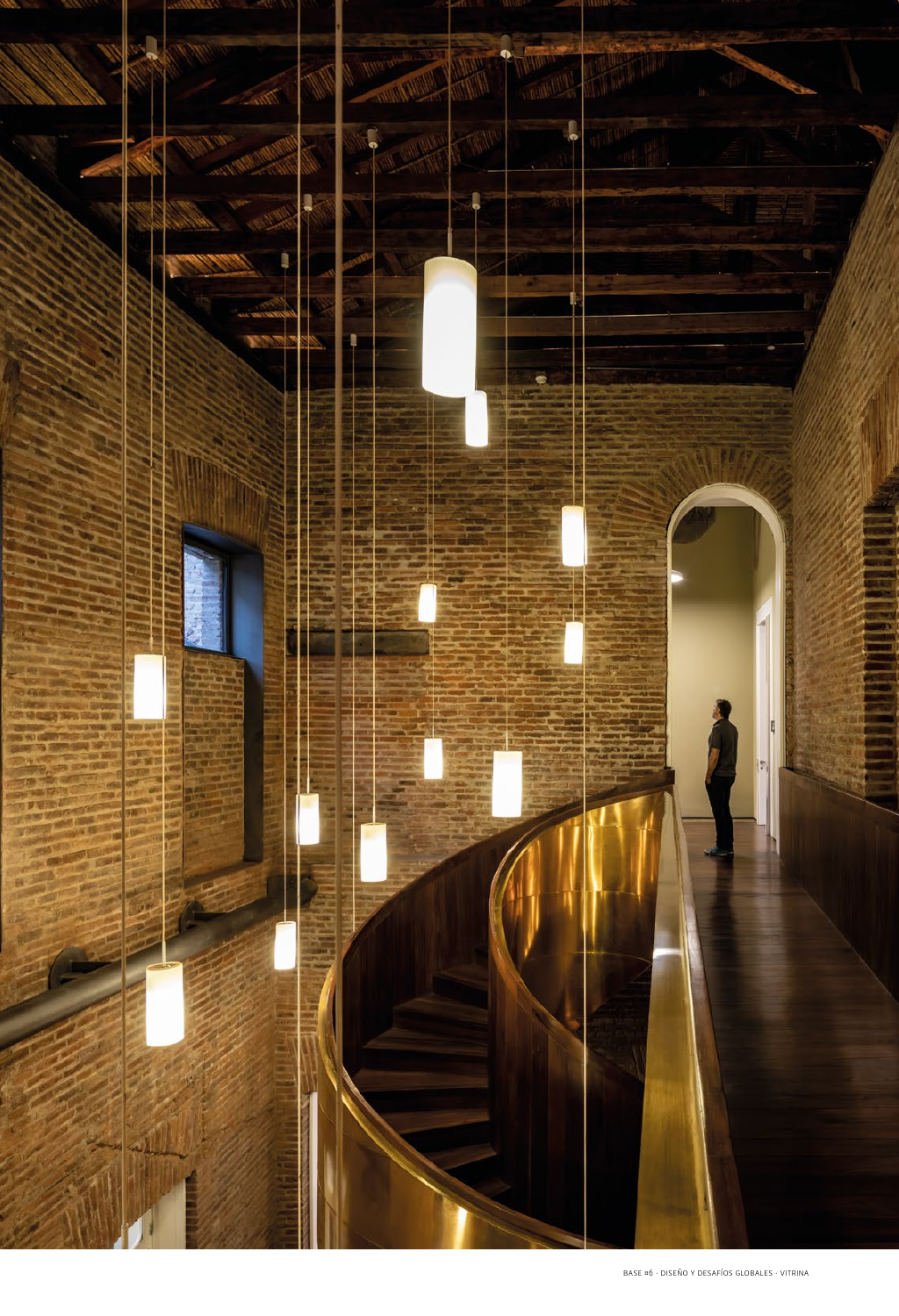